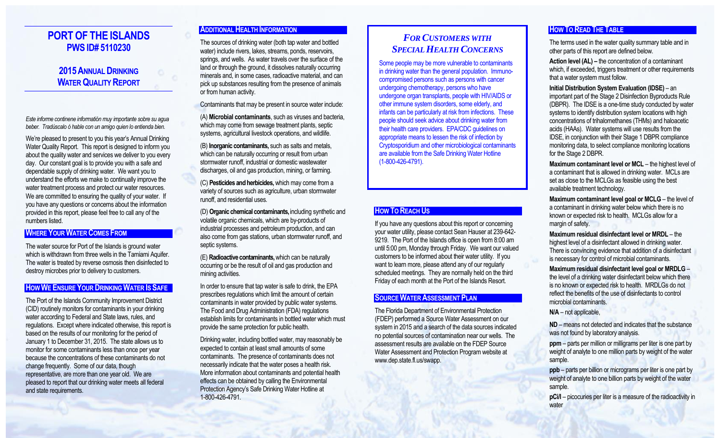# **PORT OF THE ISLANDS PWS ID# 5110230**

# **2015ANNUAL DRINKING WATER QUALITY REPORT**

*Este informe continene informatión muy importante sobre su agua beber. Tradúscalo ó hable con un amigo quien lo entienda bien.*

We're pleased to present to you this year's Annual Drinking Water Quality Report. This report is designed to inform you about the quality water and services we deliver to you every day. Our constant goal is to provide you with a safe and dependable supply of drinking water. We want you to understand the efforts we make to continually improve the water treatment process and protect our water resources. We are committed to ensuring the quality of your water. If you have any questions or concerns about the information provided in this report, please feel free to call any of the numbers listed.

#### **WHERE YOUR WATER COMES FROM**

The water source for Port of the Islands is ground water which is withdrawn from three wells in the Tamiami Aquifer. The water is treated by reverse osmosis then disinfected to destroy microbes prior to delivery to customers.

#### **HOW WE ENSURE YOUR DRINKING WATER IS SAFE**

The Port of the Islands Community Improvement District (CID) routinely monitors for contaminants in your drinking water according to Federal and State laws, rules, and regulations. Except where indicated otherwise, this report is based on the results of our monitoring for the period of January 1 to December 31, 2015. The state allows us to monitor for some contaminants less than once per year because the concentrations of these contaminants do not change frequently. Some of our data, though representative, are more than one year old. We are pleased to report that our drinking water meets all federal and state requirements.

### **ADDITIONAL HEALTH INFORMATION**

The sources of drinking water (both tap water and bottled water) include rivers, lakes, streams, ponds, reservoirs, springs, and wells. As water travels over the surface of the land or through the ground, it dissolves naturally occurring minerals and, in some cases, radioactive material, and can pick up substances resulting from the presence of animals or from human activity.

Contaminants that may be present in source water include:

(A) **Microbial contaminants**, such as viruses and bacteria, which may come from sewage treatment plants, septic systems, agricultural livestock operations, and wildlife.

(B) **Inorganic contaminants,** such as salts and metals, which can be naturally occurring or result from urban stormwater runoff, industrial or domestic wastewater discharges, oil and gas production, mining, or farming.

(C) **Pesticides and herbicides,** which may come from a variety of sources such as agriculture, urban stormwater runoff, and residential uses.

(D) **Organic chemical contaminants,**including synthetic and volatile organic chemicals, which are by-products of industrial processes and petroleum production, and can also come from gas stations, urban stormwater runoff, and septic systems.

(E) **Radioactive contaminants,** which can be naturally occurring or be the result of oil and gas production and mining activities.

In order to ensure that tap water is safe to drink, the EPA prescribes regulations which limit the amount of certain contaminants in water provided by public water systems. The Food and Drug Administration (FDA) regulations establish limits for contaminants in bottled water which must provide the same protection for public health.

Drinking water, including bottled water, may reasonably be expected to contain at least small amounts of some contaminants. The presence of contaminants does not necessarily indicate that the water poses a health risk. More information about contaminants and potential health effects can be obtained by calling the Environmental Protection Agency's Safe Drinking Water Hotline at 1-800-426-4791.

# *FOR CUSTOMERS WITH SPECIAL HEALTH CONCERNS*

Some people may be more vulnerable to contaminants in drinking water than the general population. Immunocompromised persons such as persons with cancer undergoing chemotherapy, persons who have undergone organ transplants, people with HIV/AIDS or other immune system disorders, some elderly, and infants can be particularly at risk from infections. These people should seek advice about drinking water from their health care providers. EPA/CDC guidelines on appropriate means to lessen the risk of infection by Cryptosporidium and other microbiological contaminants are available from the Safe Drinking Water Hotline (1-800-426-4791).

## **HOW TO REACH US**

If you have any questions about this report or concerning your water utility, please contact Sean Hauser at 239-642- 9219. The Port of the Islands office is open from 8:00 am until 5:00 pm, Monday through Friday. We want our valued customers to be informed about their water utility. If you want to learn more, please attend any of our regularly scheduled meetings. They are normally held on the third Friday of each month at the Port of the Islands Resort.

### **SOURCE WATER ASSESSMENT PLAN**

The Florida Department of Environmental Protection (FDEP) performed a Source Water Assessment on our system in 2015 and a search of the data sources indicated no potential sources of contamination near our wells. The assessment results are available on the FDEP Source Water Assessment and Protection Program website at [www.dep.state.fl.us/swapp.](http://www.dep.state.fl.us/swapp)

### **HOW TO READ THE TABLE**

The terms used in the water quality summary table and in other parts of this report are defined below.

**Action level (AL) –** the concentration of a contaminant which, if exceeded, triggers treatment or other requirements that a water system must follow.

**Initial Distribution System Evaluation (IDSE)** – an important part of the Stage 2 Disinfection Byproducts Rule (DBPR). The IDSE is a one-time study conducted by water systems to identify distribution system locations with high concentrations of trihalomethanes (THMs) and haloacetic acids (HAAs). Water systems will use results from the IDSE, in conjunction with their Stage 1 DBPR compliance monitoring data, to select compliance monitoring locations for the Stage 2 DBPR.

**Maximum contaminant level or MCL** – the highest level of a contaminant that is allowed in drinking water. MCLs are set as close to the MCLGs as feasible using the best available treatment technology.

**Maximum contaminant level goal or MCLG** – the level of a contaminant in drinking water below which there is no known or expected risk to health. MCLGs allow for a margin of safety.

**Maximum residual disinfectant level or MRDL** – the highest level of a disinfectant allowed in drinking water. There is convincing evidence that addition of a disinfectant is necessary for control of microbial contaminants.

**Maximum residual disinfectant level goal or MRDLG** – the level of a drinking water disinfectant below which there is no known or expected risk to health. MRDLGs do not reflect the benefits of the use of disinfectants to control microbial contaminants.

**N/A** – not applicable,

**ND** – means not detected and indicates that the substance was not found by laboratory analysis.

**ppm** – parts per million or milligrams per liter is one part by weight of analyte to one million parts by weight of the water sample.

**ppb** – parts per billion or micrograms per liter is one part by weight of analyte to one billion parts by weight of the water sample.

**pCi/l** – picocuries per liter is a measure of the radioactivity in water